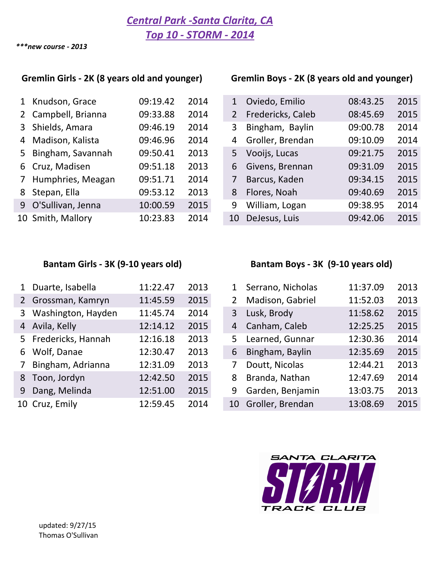*\*\*\*new course - 2013*

## Gremlin Girls - 2K (8 years old and younger) Gremlin Boys - 2K (8 years old and younger)

| 1 Knudson, Grace    | 09:19.42 | 2014 |    | Oviedo, Emilio    | 08:43.25 | 2015 |
|---------------------|----------|------|----|-------------------|----------|------|
| 2 Campbell, Brianna | 09:33.88 | 2014 | 2  | Fredericks, Caleb | 08:45.69 | 2015 |
| 3 Shields, Amara    | 09:46.19 | 2014 | 3  | Bingham, Baylin   | 09:00.78 | 2014 |
| 4 Madison, Kalista  | 09:46.96 | 2014 | 4  | Groller, Brendan  | 09:10.09 | 2014 |
| 5 Bingham, Savannah | 09:50.41 | 2013 | 5  | Vooijs, Lucas     | 09:21.75 | 2015 |
| 6 Cruz, Madisen     | 09:51.18 | 2013 | 6  | Givens, Brennan   | 09:31.09 | 2015 |
| 7 Humphries, Meagan | 09:51.71 | 2014 |    | Barcus, Kaden     | 09:34.15 | 2015 |
| 8 Stepan, Ella      | 09:53.12 | 2013 | 8  | Flores, Noah      | 09:40.69 | 2015 |
| 9 O'Sullivan, Jenna | 10:00.59 | 2015 | 9  | William, Logan    | 09:38.95 | 2014 |
| 10 Smith, Mallory   | 10:23.83 | 2014 | 10 | DeJesus, Luis     | 09:42.06 | 2015 |

| 1 | Knudson, Grace      | 09:19.42 | 2014 | 1              | Oviedo, Emilio    | 08:43.25 | 2015 |
|---|---------------------|----------|------|----------------|-------------------|----------|------|
|   | 2 Campbell, Brianna | 09:33.88 | 2014 | $\overline{2}$ | Fredericks, Caleb | 08:45.69 | 2015 |
|   | 3 Shields, Amara    | 09:46.19 | 2014 | 3              | Bingham, Baylin   | 09:00.78 | 2014 |
|   | 4 Madison, Kalista  | 09:46.96 | 2014 | 4              | Groller, Brendan  | 09:10.09 | 2014 |
| 5 | Bingham, Savannah   | 09:50.41 | 2013 | 5              | Vooijs, Lucas     | 09:21.75 | 2015 |
|   | 6 Cruz, Madisen     | 09:51.18 | 2013 | 6              | Givens, Brennan   | 09:31.09 | 2015 |
|   | 7 Humphries, Meagan | 09:51.71 | 2014 | 7              | Barcus, Kaden     | 09:34.15 | 2015 |
|   | 8 Stepan, Ella      | 09:53.12 | 2013 | 8              | Flores, Noah      | 09:40.69 | 2015 |
|   | 9 O'Sullivan, Jenna | 10:00.59 | 2015 | 9              | William, Logan    | 09:38.95 | 2014 |
|   | 10 Smith, Mallory   | 10:23.83 | 2014 | 10             | DeJesus, Luis     | 09:42.06 | 2015 |

| 1 | Duarte, Isabella     | 11:22.47 | 2013 | $\mathbf{1}$   | Serrano, Nicholas | 11:37.09 | 2013 |
|---|----------------------|----------|------|----------------|-------------------|----------|------|
|   | 2 Grossman, Kamryn   | 11:45.59 | 2015 | $\overline{2}$ | Madison, Gabriel  | 11:52.03 | 2013 |
|   | 3 Washington, Hayden | 11:45.74 | 2014 | 3              | Lusk, Brody       | 11:58.62 | 2015 |
|   | 4 Avila, Kelly       | 12:14.12 | 2015 | 4              | Canham, Caleb     | 12:25.25 | 2015 |
|   | 5 Fredericks, Hannah | 12:16.18 | 2013 | 5.             | Learned, Gunnar   | 12:30.36 | 2014 |
|   | 6 Wolf, Danae        | 12:30.47 | 2013 | 6              | Bingham, Baylin   | 12:35.69 | 2015 |
|   | 7 Bingham, Adrianna  | 12:31.09 | 2013 |                | Doutt, Nicolas    | 12:44.21 | 2013 |
|   | 8 Toon, Jordyn       | 12:42.50 | 2015 | 8              | Branda, Nathan    | 12:47.69 | 2014 |
|   | 9 Dang, Melinda      | 12:51.00 | 2015 | 9              | Garden, Benjamin  | 13:03.75 | 2013 |
|   | 10 Cruz, Emily       | 12:59.45 | 2014 | 10             | Groller, Brendan  | 13:08.69 | 2015 |

### Bantam Girls - 3K (9-10 years old) Bantam Boys - 3K (9-10 years old)

| 1              | Serrano, Nicholas | 11:37.09 | 2013 |
|----------------|-------------------|----------|------|
| $\overline{2}$ | Madison, Gabriel  | 11:52.03 | 2013 |
| 3              | Lusk, Brody       | 11:58.62 | 2015 |
| 4              | Canham, Caleb     | 12:25.25 | 2015 |
| 5              | Learned, Gunnar   | 12:30.36 | 2014 |
| 6              | Bingham, Baylin   | 12:35.69 | 2015 |
| 7              | Doutt, Nicolas    | 12:44.21 | 2013 |
| 8              | Branda, Nathan    | 12:47.69 | 2014 |
| 9              | Garden, Benjamin  | 13:03.75 | 2013 |
| 10             | Groller, Brendan  | 13:08.69 | 2015 |

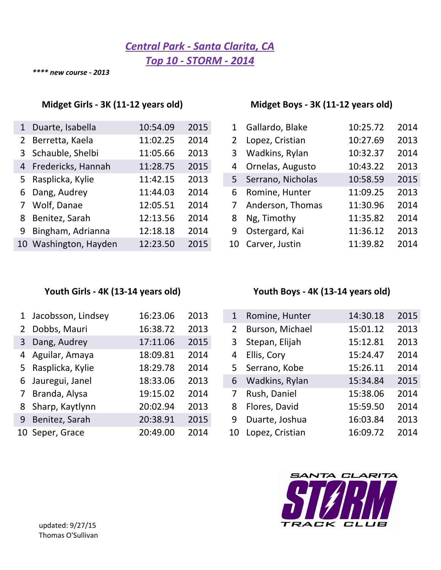# *Central Park - Santa Clarita, CA Top 10 - STORM - 2014*

*\*\*\*\* new course - 2013*

### Midget Girls - 3K (11-12 years old) Midget Boys - 3K (11-12 years old)

| 1           | Duarte, Isabella      | 10:54.09 | 2015 | 1 | Gallardo, Blake    | 10:25.72 | 2014 |
|-------------|-----------------------|----------|------|---|--------------------|----------|------|
|             | 2 Berretta, Kaela     | 11:02.25 | 2014 | 2 | Lopez, Cristian    | 10:27.69 | 2013 |
|             | 3 Schauble, Shelbi    | 11:05.66 | 2013 | 3 | Wadkins, Rylan     | 10:32.37 | 2014 |
|             | 4 Fredericks, Hannah  | 11:28.75 | 2015 |   | 4 Ornelas, Augusto | 10:43.22 | 2013 |
|             | 5 Rasplicka, Kylie    | 11:42.15 | 2013 | 5 | Serrano, Nicholas  | 10:58.59 | 2015 |
|             | 6 Dang, Audrey        | 11:44.03 | 2014 | 6 | Romine, Hunter     | 11:09.25 | 2013 |
| $7^{\circ}$ | Wolf, Danae           | 12:05.51 | 2014 | 7 | Anderson, Thomas   | 11:30.96 | 2014 |
|             | 8 Benitez, Sarah      | 12:13.56 | 2014 | 8 | Ng, Timothy        | 11:35.82 | 2014 |
|             | 9 Bingham, Adrianna   | 12:18.18 | 2014 | 9 | Ostergard, Kai     | 11:36.12 | 2013 |
|             | 10 Washington, Hayden | 12:23.50 | 2015 |   | 10 Carver, Justin  | 11:39.82 | 2014 |

|    | Gallardo, Blake   | 10:25.72 | 2014 |
|----|-------------------|----------|------|
| 2  | Lopez, Cristian   | 10:27.69 | 2013 |
| 3  | Wadkins, Rylan    | 10:32.37 | 2014 |
| 4  | Ornelas, Augusto  | 10:43.22 | 2013 |
| 5  | Serrano, Nicholas | 10:58.59 | 2015 |
| 6  | Romine, Hunter    | 11:09.25 | 2013 |
| 7  | Anderson, Thomas  | 11:30.96 | 2014 |
| 8  | Ng, Timothy       | 11:35.82 | 2014 |
| 9  | Ostergard, Kai    | 11:36.12 | 2013 |
| 10 | Carver, Justin    | 11:39.82 | 2014 |

| 1           | Jacobsson, Lindsey | 16:23.06 | 2013 | 1  | Romine, Hunter  | 14:30.18 | 2015 |
|-------------|--------------------|----------|------|----|-----------------|----------|------|
| $2^{\circ}$ | Dobbs, Mauri       | 16:38.72 | 2013 | 2  | Burson, Michael | 15:01.12 | 2013 |
|             | 3 Dang, Audrey     | 17:11.06 | 2015 | 3  | Stepan, Elijah  | 15:12.81 | 2013 |
|             | 4 Aguilar, Amaya   | 18:09.81 | 2014 | 4  | Ellis, Cory     | 15:24.47 | 2014 |
|             | 5 Rasplicka, Kylie | 18:29.78 | 2014 | 5. | Serrano, Kobe   | 15:26.11 | 2014 |
|             | 6 Jauregui, Janel  | 18:33.06 | 2013 | 6  | Wadkins, Rylan  | 15:34.84 | 2015 |
|             | 7 Branda, Alysa    | 19:15.02 | 2014 |    | Rush, Daniel    | 15:38.06 | 2014 |
|             | 8 Sharp, Kaytlynn  | 20:02.94 | 2013 | 8  | Flores, David   | 15:59.50 | 2014 |
|             | 9 Benitez, Sarah   | 20:38.91 | 2015 | 9  | Duarte, Joshua  | 16:03.84 | 2013 |
|             | 10 Seper, Grace    | 20:49.00 | 2014 | 10 | Lopez, Cristian | 16:09.72 | 2014 |

## Youth Girls - 4K (13-14 years old) **Youth Boys** - 4K (13-14 years old)

| 1              | Romine, Hunter  | 14:30.18 | 2015 |
|----------------|-----------------|----------|------|
| $\overline{2}$ | Burson, Michael | 15:01.12 | 2013 |
| 3              | Stepan, Elijah  | 15:12.81 | 2013 |
| 4              | Ellis, Cory     | 15:24.47 | 2014 |
| 5              | Serrano, Kobe   | 15:26.11 | 2014 |
| 6              | Wadkins, Rylan  | 15:34.84 | 2015 |
| 7              | Rush, Daniel    | 15:38.06 | 2014 |
| 8              | Flores, David   | 15:59.50 | 2014 |
| 9              | Duarte, Joshua  | 16:03.84 | 2013 |
| 10             | Lopez, Cristian | 16:09.72 | 2014 |